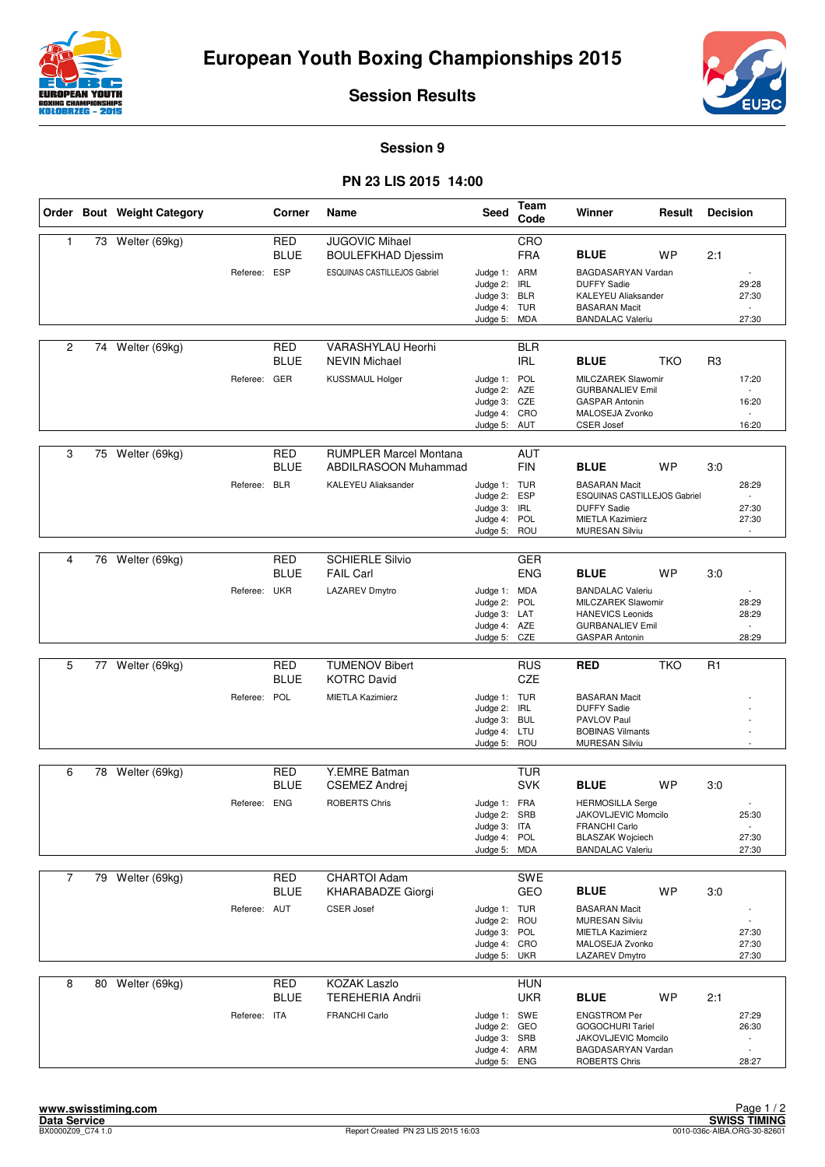



**Session Results**

**Session 9**

## **PN 23 LIS 2015 14:00**

|                |    | Order Bout Weight Category |              | Corner                    | Name                                                  | <b>Seed</b>                                                              | Team<br>Code                           | Winner                                                                                                                                | Result     | <b>Decision</b> |                                                                       |
|----------------|----|----------------------------|--------------|---------------------------|-------------------------------------------------------|--------------------------------------------------------------------------|----------------------------------------|---------------------------------------------------------------------------------------------------------------------------------------|------------|-----------------|-----------------------------------------------------------------------|
| $\mathbf{1}$   | 73 | Welter (69kg)              |              | <b>RED</b><br><b>BLUE</b> | <b>JUGOVIC Mihael</b><br><b>BOULEFKHAD Djessim</b>    |                                                                          | CRO<br><b>FRA</b>                      | <b>BLUE</b>                                                                                                                           | <b>WP</b>  | 2:1             |                                                                       |
|                |    |                            | Referee:     | <b>ESP</b>                | ESQUINAS CASTILLEJOS Gabriel                          | Judge 1: ARM<br>Judge 2:<br>Judge 3:<br>Judge 4: TUR<br>Judge 5:         | <b>IRL</b><br><b>BLR</b><br><b>MDA</b> | BAGDASARYAN Vardan<br><b>DUFFY Sadie</b><br><b>KALEYEU Aliaksander</b><br><b>BASARAN Macit</b><br><b>BANDALAC Valeriu</b>             |            |                 | 29:28<br>27:30<br>$\overline{a}$<br>27:30                             |
| $\overline{2}$ |    | 74 Welter (69kg)           |              | <b>RED</b><br><b>BLUE</b> | VARASHYLAU Heorhi<br><b>NEVIN Michael</b>             |                                                                          | <b>BLR</b><br><b>IRL</b>               | <b>BLUE</b>                                                                                                                           | <b>TKO</b> | R <sub>3</sub>  |                                                                       |
|                |    |                            | Referee: GER |                           | <b>KUSSMAUL Holger</b>                                | Judge 1: POL<br>Judge 2: AZE<br>Judge 3: CZE<br>Judge 4: CRO             |                                        | MILCZAREK Slawomir<br><b>GURBANALIEV Emil</b><br><b>GASPAR Antonin</b><br>MALOSEJA Zvonko                                             |            |                 | 17:20<br>$\sim$<br>16:20                                              |
|                |    |                            |              |                           |                                                       | Judge 5: AUT                                                             |                                        | <b>CSER Josef</b>                                                                                                                     |            |                 | 16:20                                                                 |
| 3              | 75 | Welter (69kg)              |              | <b>RED</b><br><b>BLUE</b> | <b>RUMPLER Marcel Montana</b><br>ABDILRASOON Muhammad |                                                                          | <b>AUT</b><br><b>FIN</b>               | <b>BLUE</b>                                                                                                                           | <b>WP</b>  | 3:0             |                                                                       |
|                |    |                            | Referee: BLR |                           | <b>KALEYEU Aliaksander</b>                            | Judge 1: TUR<br>Judge 2:<br>Judge 3:<br>Judge 4: POL<br>Judge 5:         | <b>ESP</b><br><b>IRL</b><br>ROU        | <b>BASARAN Macit</b><br><b>ESQUINAS CASTILLEJOS Gabriel</b><br><b>DUFFY Sadie</b><br><b>MIETLA Kazimierz</b><br><b>MURESAN Silviu</b> |            |                 | 28:29<br>$\sim$<br>27:30<br>27:30                                     |
|                |    |                            |              |                           |                                                       |                                                                          |                                        |                                                                                                                                       |            |                 |                                                                       |
| 4              | 76 | Welter (69kg)              |              | <b>RED</b><br><b>BLUE</b> | <b>SCHIERLE Silvio</b><br><b>FAIL Carl</b>            |                                                                          | <b>GER</b><br><b>ENG</b>               | <b>BLUE</b>                                                                                                                           | <b>WP</b>  | 3:0             |                                                                       |
|                |    |                            | Referee: UKR |                           | <b>LAZAREV Dmytro</b>                                 | Judge 1: MDA<br>Judge 2:<br>Judge 3: LAT<br>Judge 4: AZE<br>Judge 5:     | POL<br>CZE                             | <b>BANDALAC Valeriu</b><br>MILCZAREK Slawomir<br><b>HANEVICS Leonids</b><br><b>GURBANALIEV Emil</b><br>GASPAR Antonin                 |            |                 | 28:29<br>28:29<br>28:29                                               |
|                |    |                            |              |                           |                                                       |                                                                          |                                        |                                                                                                                                       |            |                 |                                                                       |
| 5              | 77 | Welter (69kg)              |              | RED<br><b>BLUE</b>        | <b>TUMENOV Bibert</b><br><b>KOTRC David</b>           |                                                                          | <b>RUS</b><br><b>CZE</b>               | <b>RED</b>                                                                                                                            | <b>TKO</b> | R <sub>1</sub>  |                                                                       |
|                |    |                            | Referee: POL |                           | <b>MIETLA Kazimierz</b>                               | Judge 1: TUR<br>Judge 2: IRL<br>Judge 3:<br>Judge 4: LTU<br>Judge 5:     | <b>BUL</b><br>ROU                      | <b>BASARAN Macit</b><br><b>DUFFY Sadie</b><br>PAVLOV Paul<br><b>BOBINAS Vilmants</b><br><b>MURESAN Silviu</b>                         |            |                 |                                                                       |
| 6              | 78 | Welter (69kg)              |              | RED                       | Y.EMRE Batman                                         |                                                                          | <b>TUR</b>                             |                                                                                                                                       |            |                 |                                                                       |
|                |    |                            |              | <b>BLUE</b>               | <b>CSEMEZ Andrej</b>                                  |                                                                          | <b>SVK</b>                             | <b>BLUE</b>                                                                                                                           | <b>WP</b>  | 3:0             |                                                                       |
|                |    |                            | Referee: ENG |                           | <b>ROBERTS Chris</b>                                  | Judge 1: FRA<br>Judge 2: SRB<br>Judge 3: ITA<br>Judge 4: POL<br>Judge 5: | MDA                                    | <b>HERMOSILLA Serge</b><br>JAKOVLJEVIC Momcilo<br><b>FRANCHI Carlo</b><br><b>BLASZAK Wojciech</b><br><b>BANDALAC Valeriu</b>          |            |                 | 25:30<br>$\sim$<br>27:30<br>27:30                                     |
| $\overline{7}$ |    | 79 Welter (69kg)           |              | <b>RED</b>                | <b>CHARTOI Adam</b>                                   |                                                                          | SWE                                    |                                                                                                                                       |            |                 |                                                                       |
|                |    |                            | Referee: AUT | <b>BLUE</b>               | KHARABADZE Giorgi<br><b>CSER Josef</b>                | Judge 1: TUR<br>Judge 2: ROU<br>Judge 3:                                 | GEO<br>POL                             | <b>BLUE</b><br><b>BASARAN Macit</b><br><b>MURESAN Silviu</b><br><b>MIETLA Kazimierz</b>                                               | WP         | 3:0             | 27:30                                                                 |
|                |    |                            |              |                           |                                                       | Judge 4: CRO<br>Judge 5:                                                 | <b>UKR</b>                             | MALOSEJA Zvonko<br>LAZAREV Dmytro                                                                                                     |            |                 | 27:30<br>27:30                                                        |
|                |    |                            |              |                           |                                                       |                                                                          |                                        |                                                                                                                                       |            |                 |                                                                       |
| 8              | 80 | Welter (69kg)              |              | <b>RED</b><br><b>BLUE</b> | <b>KOZAK Laszlo</b><br><b>TEREHERIA Andrii</b>        |                                                                          | <b>HUN</b><br><b>UKR</b>               | <b>BLUE</b>                                                                                                                           | WP         | 2:1             |                                                                       |
|                |    |                            | Referee: ITA |                           | <b>FRANCHI Carlo</b>                                  | Judge 1: SWE<br>Judge 2: GEO<br>Judge 3: SRB<br>Judge 4: ARM<br>Judge 5: | ENG                                    | <b>ENGSTROM Per</b><br><b>GOGOCHURI Tariel</b><br>JAKOVLJEVIC Momcilo<br>BAGDASARYAN Vardan<br><b>ROBERTS Chris</b>                   |            |                 | 27:29<br>26:30<br>$\overline{\phantom{a}}$<br>$\blacksquare$<br>28:27 |